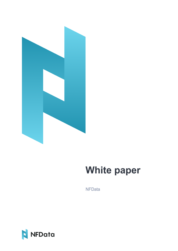

# **White paper**

**NFData** 

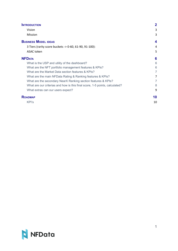| <b>INTRODUCTION</b>                                                         | $\mathbf 2$ |
|-----------------------------------------------------------------------------|-------------|
| Vision                                                                      | 3           |
| Mission                                                                     | 3           |
| <b>BUSINESS MODEL IDEAS</b>                                                 | 4           |
| 3 Tiers (rarity score buckets -> 0-60, 61-90, 91-100):                      | 4           |
| ASAC token                                                                  | 5           |
| <b>NFDATA</b>                                                               | 6           |
| What is the USP and utility of the dashboard?                               | 6           |
| What are the NFT portfolio management features & KPIs?                      | 6           |
| What are the Market Data section features & KPIs?                           | 7           |
| What are the main NFData Rating & Ranking features & KPIs?                  | 7           |
| What are the secondary NearX Ranking section features & KPIs?               | 7           |
| What are our criterias and how is this final score, 1-5 points, calculated? | 8           |
| What extras can our users expect?                                           | 9           |
| <b>ROADMAP</b>                                                              | 10          |
| KPI's                                                                       | 10          |

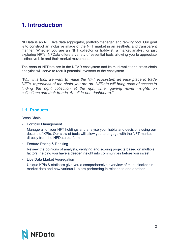# <span id="page-2-0"></span>**1. Introduction**

NFData is an NFT live data aggregator, portfolio manager, and ranking tool. Our goal is to construct an inclusive image of the NFT market in an aesthetic and transparent manner. Whether you are an NFT collector or hobbyist, a market analyst, or just exploring NFTs, NFData offers a variety of essential tools allowing you to appreciate distinctive L1s and their market movements.

The roots of NFData are in the NEAR ecosystem and its multi-wallet and cross-chain analytics will serve to recruit potential investors to the ecosystem.

*"With this tool, we want to make the NFT ecosystem an easy place to trade NFTs, regardless of the chain you are on. NFData will bring ease of access to finding the right collection at the right time, gaining novel insights on collections and their trends. An all-in-one dashboard."*

# <span id="page-2-1"></span>**1.1 Products**

Cross Chain:

▪ Portfolio Management

Manage all of your NFT holdings and analyse your habits and decisions using our dozens of KPIs. Our slew of tools will allow you to engage with the NFT market directly from the NFData platform

**EXECT:** Feature Rating & Ranking

Review the opinions of analysts, verifying and scoring projects based on multiple factors, helping you have a deeper insight into communities before you invest.

▪ Live Data Market Aggregation

Unique KPIs & statistics give you a comprehensive overview of multi-blockchain market data and how various L1s are performing in relation to one another.

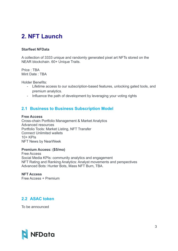# <span id="page-3-0"></span>**2. NFT Launch**

#### **Starfleet NFData**

A collection of 3333 unique and randomly generated pixel art NFTs stored on the NEAR blockchain. 60+ Unique Traits.

Price : TBA Mint Date : TBA

Holder Benefits:

- Lifetime access to our subscription-based features, unlocking gated tools, and premium analytics.
- Influence the path of development by leveraging your voting rights

# <span id="page-3-1"></span>**2.1 Business to Business Subscription Model**

#### **Free Access**

Cross-chain Portfolio Management & Market Analytics Advanced resources Portfolio Tools: Market Listing, NFT Transfer Connect Unlimited wallets 10+ KPIs NFT News by NearWeek

#### **Premium Access: (\$5/mo)**

Free Access Social Media KPIs: community analytics and engagement NFT Rating and Ranking Analytics: Analyst movements and perspectives Advanced Bots: Hunter Bots, Mass NFT Burn, TBA.

**NFT Access** Free Access + Premium

# <span id="page-3-2"></span>**2.2 ASAC token**

To be announced

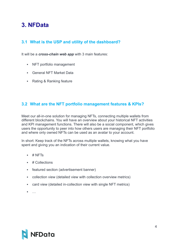# <span id="page-4-0"></span>**3. NFData**

# <span id="page-4-1"></span>**3.1 What is the USP and utility of the dashboard?**

It will be a *cross-chain web app* with 3 main features:

- NFT portfolio management
- **General NFT Market Data**
- Rating & Ranking feature

# <span id="page-4-2"></span>**3.2 What are the NFT portfolio management features & KPIs?**

Meet our all-in-one solution for managing NFTs, connecting multiple wallets from different blockchains. You will have an overview about your historical NFT activities and KPI management functions. There will also be a social component, which gives users the opportunity to peer into how others users are managing their NFT portfolio and where only owned NFTs can be used as an avatar to your account.

In short: Keep track of the NFTs across multiple wallets, knowing what you have spent and giving you an indication of their current value.

- $\pm$  # NFTs
- # Collections
- featured section (advertisement banner)
- **•** collection view (detailed view with collection overview metrics)
- card view (detailed in-collection view with single NFT metrics)
- $\blacksquare$

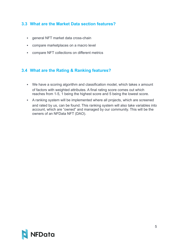# <span id="page-5-0"></span>**3.3 What are the Market Data section features?**

- **EXECT** market data cross-chain
- compare marketplaces on a macro level
- compare NFT collections on different metrics

# <span id="page-5-1"></span>**3.4 What are the Rating & Ranking features?**

- We have a scoring algorithm and classification model, which takes x amount of factors with weighted attributes. A final rating score comes out which reaches from 1-5, 1 being the highest score and 5 being the lowest score.
- A ranking system will be implemented where all projects, which are screened and rated by us, can be found. This ranking system will also take variables into account, which are "owned" and managed by our community. This will be the owners of an NFData NFT (DAO).

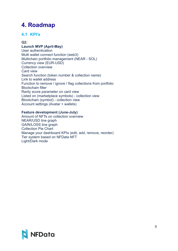# <span id="page-6-0"></span>**4. Roadmap**

# <span id="page-6-1"></span>**4.1 KPI's**

### **Q2:**

### **Launch MVP (April-May)**

User authentication Multi wallet connect function (web3) Multichain portfolio management (NEAR - SOL) Currency view (EUR-USD) Collection overview Card view Search function (token number & collection name) Link to wallet address Function to remove / ignore / flag collections from portfolio Blockchain filter Rarity score parameter on card view Listed on (marketplace symbols) - collection view Blockchain (symbol) - collection view Account settings (Avatar + wallets)

#### **Feature development (June-July)**

Amount of NFTs on collection overview NEAR/USD line graph GAIN/LOSS line graph Collection Pie Chart Manage your dashboard KPIs (edit, add, remove, reorder) Tier system based on NFData NFT Light/Dark mode